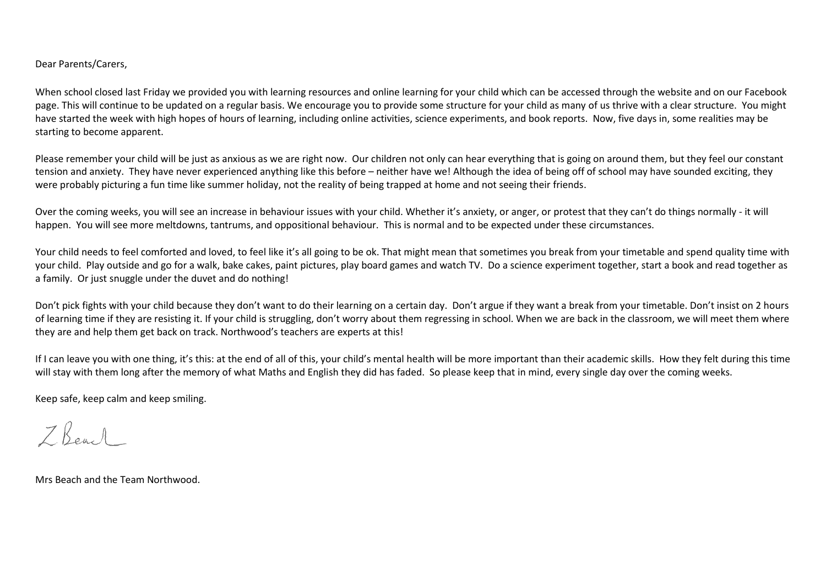Dear Parents/Carers,

When school closed last Friday we provided you with learning resources and online learning for your child which can be accessed through the website and on our Facebook page. This will continue to be updated on a regular basis. We encourage you to provide some structure for your child as many of us thrive with a clear structure. You might have started the week with high hopes of hours of learning, including online activities, science experiments, and book reports. Now, five days in, some realities may be starting to become apparent.

Please remember your child will be just as anxious as we are right now. Our children not only can hear everything that is going on around them, but they feel our constant tension and anxiety. They have never experienced anything like this before – neither have we! Although the idea of being off of school may have sounded exciting, they were probably picturing a fun time like summer holiday, not the reality of being trapped at home and not seeing their friends.

Over the coming weeks, you will see an increase in behaviour issues with your child. Whether it's anxiety, or anger, or protest that they can't do things normally - it will happen. You will see more meltdowns, tantrums, and oppositional behaviour. This is normal and to be expected under these circumstances.

Your child needs to feel comforted and loved, to feel like it's all going to be ok. That might mean that sometimes you break from your timetable and spend quality time with your child. Play outside and go for a walk, bake cakes, paint pictures, play board games and watch TV. Do a science experiment together, start a book and read together as a family. Or just snuggle under the duvet and do nothing!

Don't pick fights with your child because they don't want to do their learning on a certain day. Don't argue if they want a break from your timetable. Don't insist on 2 hours of learning time if they are resisting it. If your child is struggling, don't worry about them regressing in school. When we are back in the classroom, we will meet them where they are and help them get back on track. Northwood's teachers are experts at this!

If I can leave you with one thing, it's this: at the end of all of this, your child's mental health will be more important than their academic skills. How they felt during this time will stay with them long after the memory of what Maths and English they did has faded. So please keep that in mind, every single day over the coming weeks.

Keep safe, keep calm and keep smiling.

 $Z$  Beach

Mrs Beach and the Team Northwood.